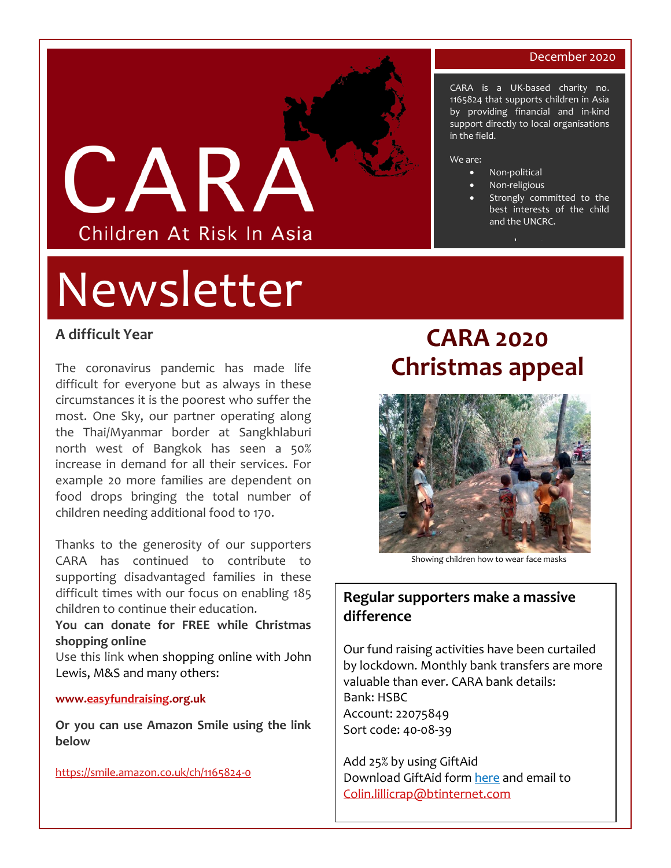#### December 2020

CARA is a UK-based charity no. 1165824 that supports children in Asia by providing financial and in-kind support directly to local organisations

> Strongly committed to the best interests of the child



# Newsletter

## **A difficult Year**

The coronavirus pandemic has made life difficult for everyone but as always in these circumstances it is the poorest who suffer the most. One Sky, our partner operating along the Thai/Myanmar border at Sangkhlaburi north west of Bangkok has seen a 50% increase in demand for all their services. For example 20 more families are dependent on food drops bringing the total number of children needing additional food to 170.

Thanks to the generosity of our supporters CARA has continued to contribute to supporting disadvantaged families in these difficult times with our focus on enabling 185 children to continue their education.

**You can donate for FREE while Christmas shopping online**

Use this link when shopping online with John Lewis, M&S and many others:

#### **www[.easyfundraising.](http://www.easyfundraising.org.uk/)org.uk**

**Or you can use Amazon Smile using the link below**

[https://smile.amazon.co.uk/ch/1165824-0](https://www.amazon.co.uk/gp/f.html?C=3P6JFRPGHSXNI&K=3OTSQ18DREUT7&M=urn:rtn:msg:202011170904140281628315274a57880c2a5c9980p0eu&R=1WE6JRVDPL2VV&T=C&U=https%3A%2F%2Fsmile.amazon.co.uk%2Fch%2F1165824-0%3Fref_%3Dpe_4117511_541988151&H=AC3R3QOMFAM9C13T3YHC5JHASNEA&ref_=pe_4117511_541988151)

# **CARA 2020 Christmas appeal**

in the field.

• Non-political Non-religious

[www.carauk.org](http://www.carauk.org/) 

and the UNCRC.

We are:



Showing children how to wear face masks

## **Regular supporters make a massive difference**

Our fund raising activities have been curtailed by lockdown. Monthly bank transfers are more valuable than ever. CARA bank details: Bank: HSBC Account: 22075849 Sort code: 40-08-39

Add 25% by using GiftAid Download GiftAid form [here](https://91779d3c-ada5-40d8-81f0-60c0f36233c0.filesusr.com/ugd/b50863_41591f1c4be34c2387409bb2d926739b.pdf) and email to [Colin.lillicrap@btinternet.com](mailto:Colin.lillicrap@btinternet.com)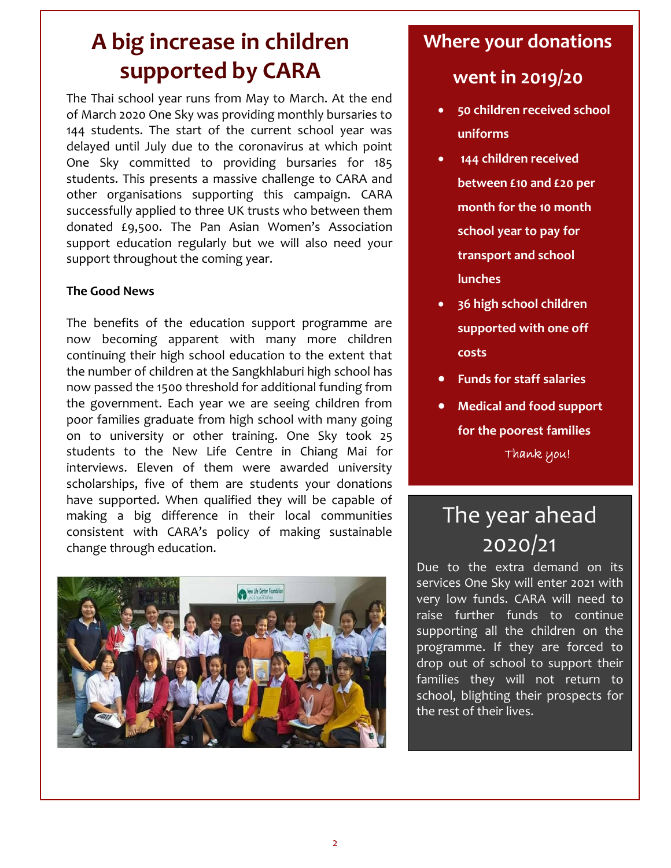# **A big increase in children supported by CARA**

The Thai school year runs from May to March. At the end of March 2020 One Sky was providing monthly bursaries to 144 students. The start of the current school year was delayed until July due to the coronavirus at which point One Sky committed to providing bursaries for 185 students. This presents a massive challenge to CARA and other organisations supporting this campaign. CARA successfully applied to three UK trusts who between them donated £9,500. The Pan Asian Women's Association support education regularly but we will also need your support throughout the coming year.

### **The Good News**

The benefits of the education support programme are now becoming apparent with many more children continuing their high school education to the extent that the number of children at the Sangkhlaburi high school has now passed the 1500 threshold for additional funding from the government. Each year we are seeing children from poor families graduate from high school with many going on to university or other training. One Sky took 25 students to the New Life Centre in Chiang Mai for interviews. Eleven of them were awarded university scholarships, five of them are students your donations have supported. When qualified they will be capable of making a big difference in their local communities consistent with CARA's policy of making sustainable change through education.



# **Where your donations**

# **went in 2019/20**

- **50 children received school uniforms**
- **144 children received between £10 and £20 per month for the 10 month school year to pay for transport and school lunches**
- **36 high school children supported with one off costs**
- **Funds for staff salaries**
- **Medical and food support for the poorest families** Thank you!

# The year ahead 2020/21

Due to the extra demand on its services One Sky will enter 2021 with very low funds. CARA will need to raise further funds to continue supporting all the children on the programme. If they are forced to drop out of school to support their families they will not return to school, blighting their prospects for the rest of their lives.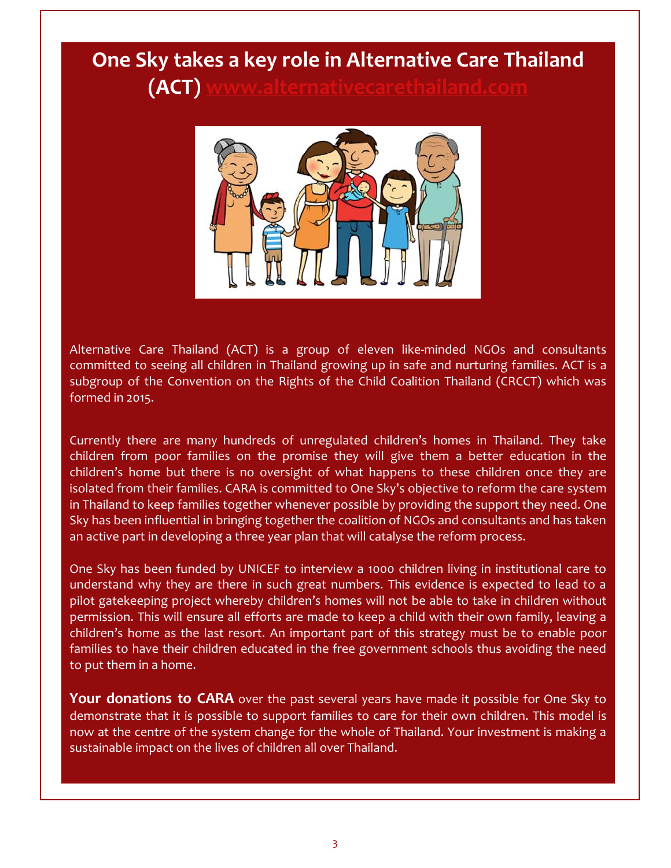# **One Sky takes a key role in Alternative Care Thailand (ACT) [www.alternativecarethailand.com](http://www.alternativecarethailand.com/)**



Alternative Care Thailand (ACT) is a group of eleven like-minded NGOs and consultants committed to seeing all children in Thailand growing up in safe and nurturing families. ACT is a subgroup of the Convention on the Rights of the Child Coalition Thailand (CRCCT) which was formed in 2015.

Currently there are many hundreds of unregulated children's homes in Thailand. They take children from poor families on the promise they will give them a better education in the children's home but there is no oversight of what happens to these children once they are isolated from their families. CARA is committed to One Sky's objective to reform the care system in Thailand to keep families together whenever possible by providing the support they need. One Sky has been influential in bringing together the coalition of NGOs and consultants and has taken an active part in developing a three year plan that will catalyse the reform process.

One Sky has been funded by UNICEF to interview a 1000 children living in institutional care to understand why they are there in such great numbers. This evidence is expected to lead to a pilot gatekeeping project whereby children's homes will not be able to take in children without permission. This will ensure all efforts are made to keep a child with their own family, leaving a children's home as the last resort. An important part of this strategy must be to enable poor families to have their children educated in the free government schools thus avoiding the need to put them in a home.

Your donations to CARA over the past several years have made it possible for One Sky to demonstrate that it is possible to support families to care for their own children. This model is now at the centre of the system change for the whole of Thailand. Your investment is making a sustainable impact on the lives of children all over Thailand.